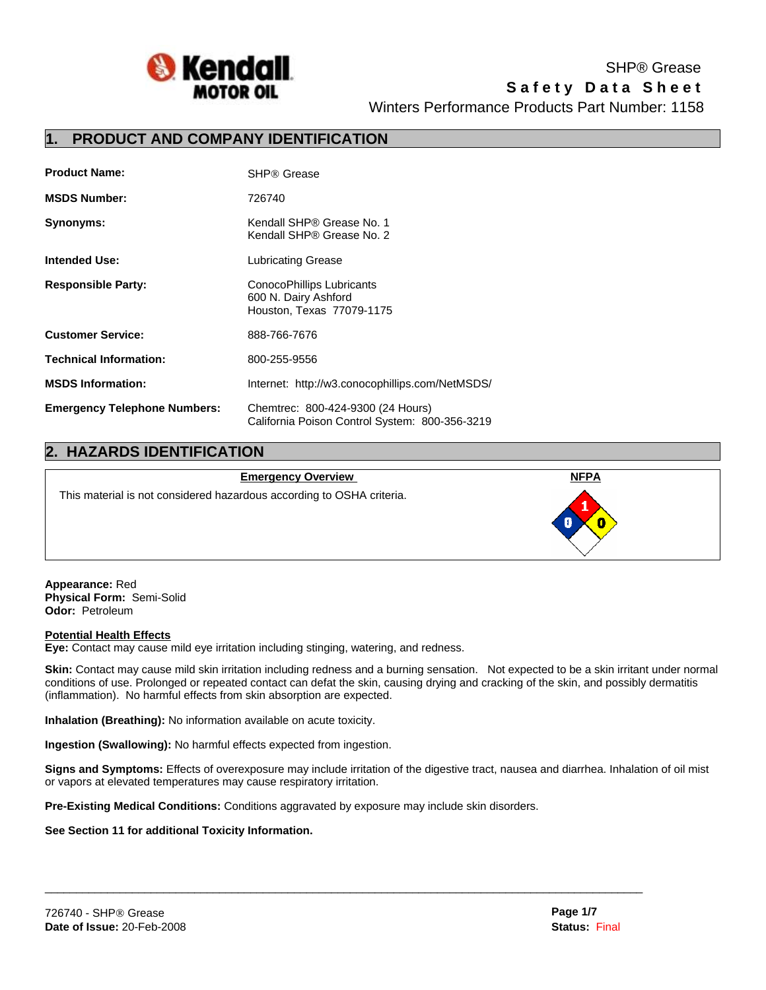

**Safety Data Sheet** Winters Performance Products Part Number: 1158 SHP® Grease

## **1. PRODUCT AND COMPANY IDENTIFICATION**

| <b>Product Name:</b>                | SHP® Grease                                                                         |
|-------------------------------------|-------------------------------------------------------------------------------------|
| <b>MSDS Number:</b>                 | 726740                                                                              |
| Synonyms:                           | Kendall SHP® Grease No. 1<br>Kendall SHP® Grease No. 2                              |
| <b>Intended Use:</b>                | Lubricating Grease                                                                  |
| <b>Responsible Party:</b>           | ConocoPhillips Lubricants<br>600 N. Dairy Ashford<br>Houston, Texas 77079-1175      |
| <b>Customer Service:</b>            | 888-766-7676                                                                        |
| <b>Technical Information:</b>       | 800-255-9556                                                                        |
| <b>MSDS Information:</b>            | Internet: http://w3.conocophillips.com/NetMSDS/                                     |
| <b>Emergency Telephone Numbers:</b> | Chemtrec: 800-424-9300 (24 Hours)<br>California Poison Control System: 800-356-3219 |

# **2. HAZARDS IDENTIFICATION**

#### **Emergency Overview NFPA**

This material is not considered hazardous according to OSHA criteria.

**Appearance:** Red **Physical Form:** Semi-Solid **Odor:** Petroleum

### **Potential Health Effects**

**Eye:** Contact may cause mild eye irritation including stinging, watering, and redness.

**Skin:** Contact may cause mild skin irritation including redness and a burning sensation. Not expected to be a skin irritant under normal conditions of use. Prolonged or repeated contact can defat the skin, causing drying and cracking of the skin, and possibly dermatitis (inflammation). No harmful effects from skin absorption are expected.

**Inhalation (Breathing):** No information available on acute toxicity.

**Ingestion (Swallowing):** No harmful effects expected from ingestion.

**Signs and Symptoms:** Effects of overexposure may include irritation of the digestive tract, nausea and diarrhea. Inhalation of oil mist or vapors at elevated temperatures may cause respiratory irritation.

 $\mathcal{L}_\mathcal{L} = \{ \mathcal{L}_\mathcal{L} = \{ \mathcal{L}_\mathcal{L} = \{ \mathcal{L}_\mathcal{L} = \{ \mathcal{L}_\mathcal{L} = \{ \mathcal{L}_\mathcal{L} = \{ \mathcal{L}_\mathcal{L} = \{ \mathcal{L}_\mathcal{L} = \{ \mathcal{L}_\mathcal{L} = \{ \mathcal{L}_\mathcal{L} = \{ \mathcal{L}_\mathcal{L} = \{ \mathcal{L}_\mathcal{L} = \{ \mathcal{L}_\mathcal{L} = \{ \mathcal{L}_\mathcal{L} = \{ \mathcal{L}_\mathcal{$ 

**Pre-Existing Medical Conditions:** Conditions aggravated by exposure may include skin disorders.

### **See Section 11 for additional Toxicity Information.**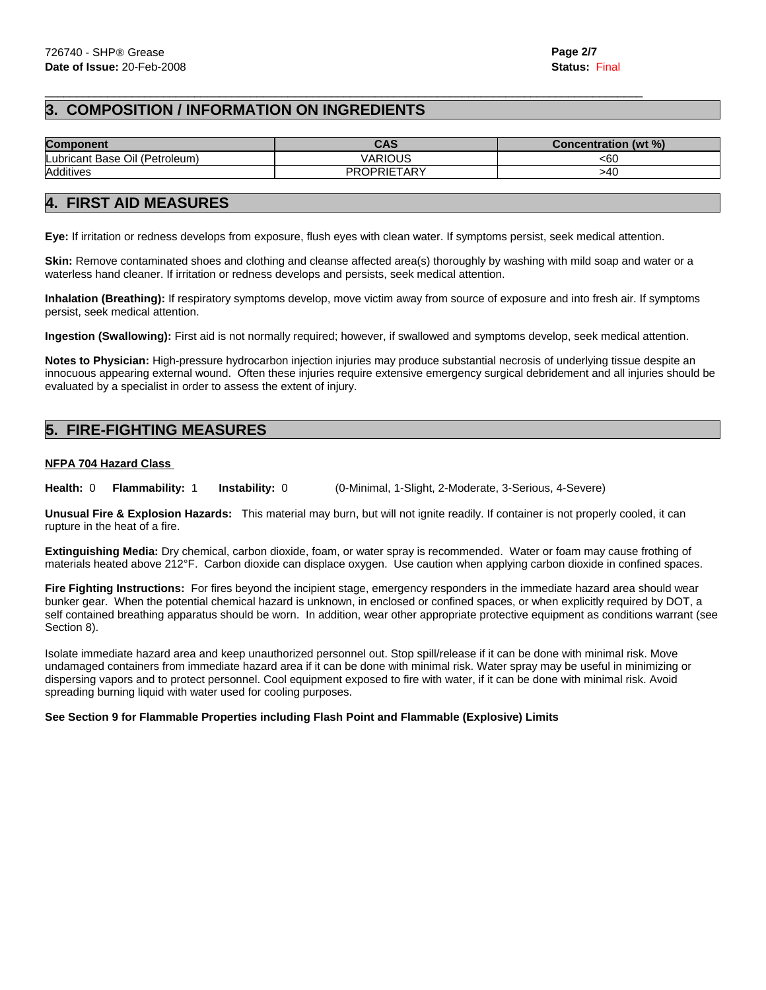# **3. COMPOSITION / INFORMATION ON INGREDIENTS**

| <b>Component</b>               | CAS                | Concentration (wt %) |  |
|--------------------------------|--------------------|----------------------|--|
| Lubricant Base Oil (Petroleum) | VARIOUS            | <60                  |  |
| Additives                      | <b>PROPRIETARY</b> | >40                  |  |

# **4. FIRST AID MEASURES**

**Eye:** If irritation or redness develops from exposure, flush eyes with clean water. If symptoms persist, seek medical attention.

 $\mathcal{L}_\mathcal{L} = \{ \mathcal{L}_\mathcal{L} = \{ \mathcal{L}_\mathcal{L} = \{ \mathcal{L}_\mathcal{L} = \{ \mathcal{L}_\mathcal{L} = \{ \mathcal{L}_\mathcal{L} = \{ \mathcal{L}_\mathcal{L} = \{ \mathcal{L}_\mathcal{L} = \{ \mathcal{L}_\mathcal{L} = \{ \mathcal{L}_\mathcal{L} = \{ \mathcal{L}_\mathcal{L} = \{ \mathcal{L}_\mathcal{L} = \{ \mathcal{L}_\mathcal{L} = \{ \mathcal{L}_\mathcal{L} = \{ \mathcal{L}_\mathcal{$ 

**Skin:** Remove contaminated shoes and clothing and cleanse affected area(s) thoroughly by washing with mild soap and water or a waterless hand cleaner. If irritation or redness develops and persists, seek medical attention.

**Inhalation (Breathing):** If respiratory symptoms develop, move victim away from source of exposure and into fresh air. If symptoms persist, seek medical attention.

**Ingestion (Swallowing):** First aid is not normally required; however, if swallowed and symptoms develop, seek medical attention.

**Notes to Physician:** High-pressure hydrocarbon injection injuries may produce substantial necrosis of underlying tissue despite an innocuous appearing external wound. Often these injuries require extensive emergency surgical debridement and all injuries should be evaluated by a specialist in order to assess the extent of injury.

# **5. FIRE-FIGHTING MEASURES**

### **NFPA 704 Hazard Class**

**Health:** 0 **Flammability:** 1 **Instability:** 0 (0-Minimal, 1-Slight, 2-Moderate, 3-Serious, 4-Severe)

**Unusual Fire & Explosion Hazards:** This material may burn, but will not ignite readily. If container is not properly cooled, it can rupture in the heat of a fire.

**Extinguishing Media:** Dry chemical, carbon dioxide, foam, or water spray is recommended. Water or foam may cause frothing of materials heated above 212°F. Carbon dioxide can displace oxygen. Use caution when applying carbon dioxide in confined spaces.

**Fire Fighting Instructions:** For fires beyond the incipient stage, emergency responders in the immediate hazard area should wear bunker gear. When the potential chemical hazard is unknown, in enclosed or confined spaces, or when explicitly required by DOT, a self contained breathing apparatus should be worn. In addition, wear other appropriate protective equipment as conditions warrant (see Section 8).

Isolate immediate hazard area and keep unauthorized personnel out. Stop spill/release if it can be done with minimal risk. Move undamaged containers from immediate hazard area if it can be done with minimal risk. Water spray may be useful in minimizing or dispersing vapors and to protect personnel. Cool equipment exposed to fire with water, if it can be done with minimal risk. Avoid spreading burning liquid with water used for cooling purposes.

### **See Section 9 for Flammable Properties including Flash Point and Flammable (Explosive) Limits**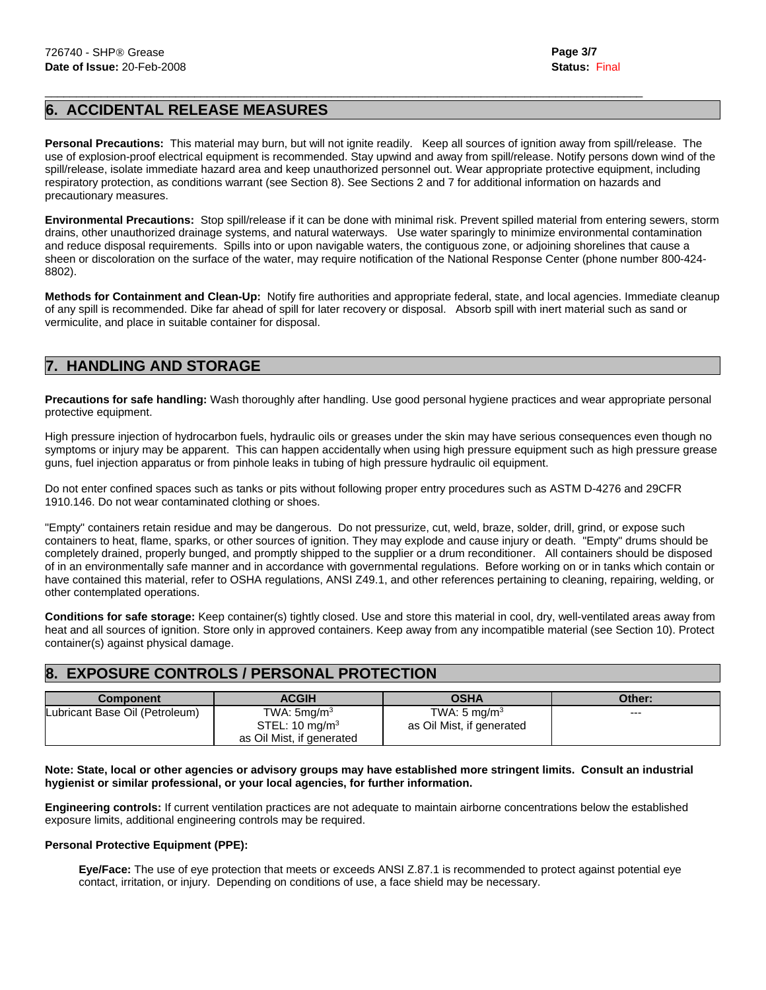# **6. ACCIDENTAL RELEASE MEASURES**

**Personal Precautions:** This material may burn, but will not ignite readily. Keep all sources of ignition away from spill/release. The use of explosion-proof electrical equipment is recommended. Stay upwind and away from spill/release. Notify persons down wind of the spill/release, isolate immediate hazard area and keep unauthorized personnel out. Wear appropriate protective equipment, including respiratory protection, as conditions warrant (see Section 8). See Sections 2 and 7 for additional information on hazards and precautionary measures.

 $\mathcal{L}_\mathcal{L} = \{ \mathcal{L}_\mathcal{L} = \{ \mathcal{L}_\mathcal{L} = \{ \mathcal{L}_\mathcal{L} = \{ \mathcal{L}_\mathcal{L} = \{ \mathcal{L}_\mathcal{L} = \{ \mathcal{L}_\mathcal{L} = \{ \mathcal{L}_\mathcal{L} = \{ \mathcal{L}_\mathcal{L} = \{ \mathcal{L}_\mathcal{L} = \{ \mathcal{L}_\mathcal{L} = \{ \mathcal{L}_\mathcal{L} = \{ \mathcal{L}_\mathcal{L} = \{ \mathcal{L}_\mathcal{L} = \{ \mathcal{L}_\mathcal{$ 

**Environmental Precautions:** Stop spill/release if it can be done with minimal risk. Prevent spilled material from entering sewers, storm drains, other unauthorized drainage systems, and natural waterways. Use water sparingly to minimize environmental contamination and reduce disposal requirements. Spills into or upon navigable waters, the contiguous zone, or adjoining shorelines that cause a sheen or discoloration on the surface of the water, may require notification of the National Response Center (phone number 800-424- 8802).

**Methods for Containment and Clean-Up:** Notify fire authorities and appropriate federal, state, and local agencies. Immediate cleanup of any spill is recommended. Dike far ahead of spill for later recovery or disposal. Absorb spill with inert material such as sand or vermiculite, and place in suitable container for disposal.

# **7. HANDLING AND STORAGE**

**Precautions for safe handling:** Wash thoroughly after handling. Use good personal hygiene practices and wear appropriate personal protective equipment.

High pressure injection of hydrocarbon fuels, hydraulic oils or greases under the skin may have serious consequences even though no symptoms or injury may be apparent. This can happen accidentally when using high pressure equipment such as high pressure grease guns, fuel injection apparatus or from pinhole leaks in tubing of high pressure hydraulic oil equipment.

Do not enter confined spaces such as tanks or pits without following proper entry procedures such as ASTM D-4276 and 29CFR 1910.146. Do not wear contaminated clothing or shoes.

"Empty" containers retain residue and may be dangerous. Do not pressurize, cut, weld, braze, solder, drill, grind, or expose such containers to heat, flame, sparks, or other sources of ignition. They may explode and cause injury or death. "Empty" drums should be completely drained, properly bunged, and promptly shipped to the supplier or a drum reconditioner. All containers should be disposed of in an environmentally safe manner and in accordance with governmental regulations. Before working on or in tanks which contain or have contained this material, refer to OSHA regulations, ANSI Z49.1, and other references pertaining to cleaning, repairing, welding, or other contemplated operations.

**Conditions for safe storage:** Keep container(s) tightly closed. Use and store this material in cool, dry, well-ventilated areas away from heat and all sources of ignition. Store only in approved containers. Keep away from any incompatible material (see Section 10). Protect container(s) against physical damage.

# **8. EXPOSURE CONTROLS / PERSONAL PROTECTION**

| <b>Component</b>               | <b>ACGIH</b>                               | <b>OSHA</b>                                          | Other: |
|--------------------------------|--------------------------------------------|------------------------------------------------------|--------|
| Lubricant Base Oil (Petroleum) | TWA: $5mq/m3$<br>STEL: $10 \text{ mg/m}^3$ | TWA: $5 \text{ mg/m}^3$<br>as Oil Mist, if generated | $--$   |
|                                | as Oil Mist, if generated                  |                                                      |        |

**Note: State, local or other agencies or advisory groups may have established more stringent limits. Consult an industrial hygienist or similar professional, or your local agencies, for further information.** 

**Engineering controls:** If current ventilation practices are not adequate to maintain airborne concentrations below the established exposure limits, additional engineering controls may be required.

### **Personal Protective Equipment (PPE):**

 **Eye/Face:** The use of eye protection that meets or exceeds ANSI Z.87.1 is recommended to protect against potential eye contact, irritation, or injury. Depending on conditions of use, a face shield may be necessary.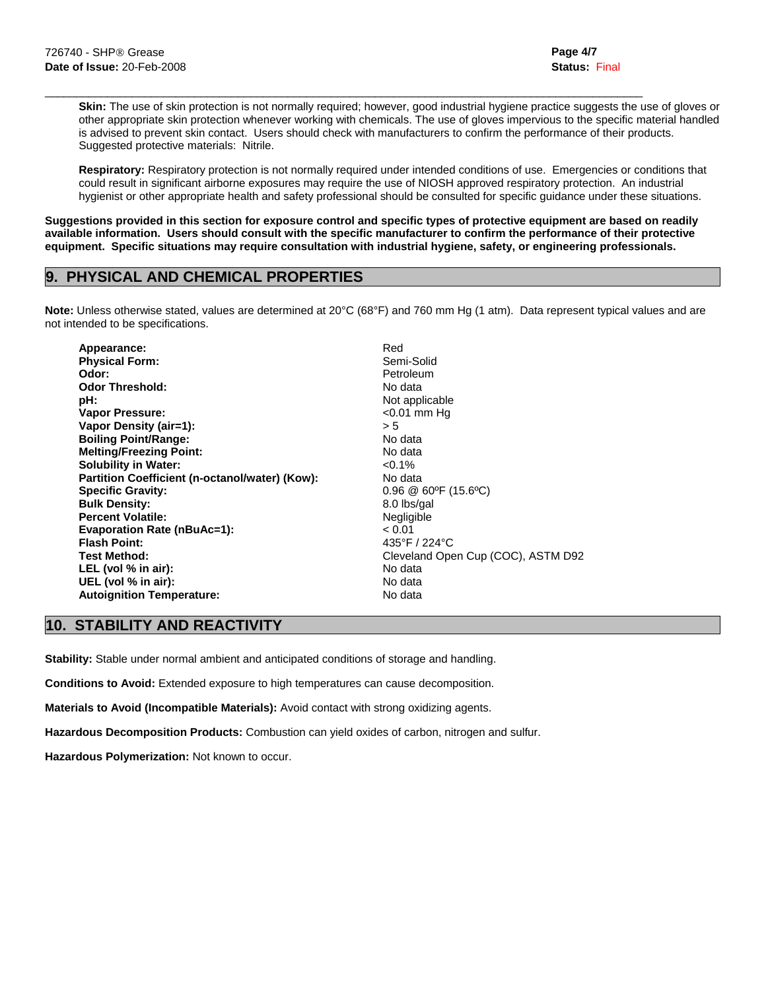**Skin:** The use of skin protection is not normally required; however, good industrial hygiene practice suggests the use of gloves or other appropriate skin protection whenever working with chemicals. The use of gloves impervious to the specific material handled is advised to prevent skin contact. Users should check with manufacturers to confirm the performance of their products. Suggested protective materials: Nitrile.

 **Respiratory:** Respiratory protection is not normally required under intended conditions of use. Emergencies or conditions that could result in significant airborne exposures may require the use of NIOSH approved respiratory protection. An industrial hygienist or other appropriate health and safety professional should be consulted for specific guidance under these situations.

**Suggestions provided in this section for exposure control and specific types of protective equipment are based on readily available information. Users should consult with the specific manufacturer to confirm the performance of their protective equipment. Specific situations may require consultation with industrial hygiene, safety, or engineering professionals.** 

 $\mathcal{L}_\mathcal{L} = \{ \mathcal{L}_\mathcal{L} = \{ \mathcal{L}_\mathcal{L} = \{ \mathcal{L}_\mathcal{L} = \{ \mathcal{L}_\mathcal{L} = \{ \mathcal{L}_\mathcal{L} = \{ \mathcal{L}_\mathcal{L} = \{ \mathcal{L}_\mathcal{L} = \{ \mathcal{L}_\mathcal{L} = \{ \mathcal{L}_\mathcal{L} = \{ \mathcal{L}_\mathcal{L} = \{ \mathcal{L}_\mathcal{L} = \{ \mathcal{L}_\mathcal{L} = \{ \mathcal{L}_\mathcal{L} = \{ \mathcal{L}_\mathcal{$ 

# **9. PHYSICAL AND CHEMICAL PROPERTIES**

**Note:** Unless otherwise stated, values are determined at 20°C (68°F) and 760 mm Hg (1 atm). Data represent typical values and are not intended to be specifications.

| Red<br>Appearance:                                          |  |
|-------------------------------------------------------------|--|
| <b>Physical Form:</b><br>Semi-Solid                         |  |
| Odor:<br>Petroleum                                          |  |
| <b>Odor Threshold:</b><br>No data                           |  |
| Not applicable<br>pH:                                       |  |
| $<$ 0.01 mm Hq<br>Vapor Pressure:                           |  |
| Vapor Density (air=1):<br>> 5                               |  |
| <b>Boiling Point/Range:</b><br>No data                      |  |
| <b>Melting/Freezing Point:</b><br>No data                   |  |
| <b>Solubility in Water:</b><br>$< 0.1\%$                    |  |
| No data<br>Partition Coefficient (n-octanol/water) (Kow):   |  |
| <b>Specific Gravity:</b><br>$0.96 \ @ 60\degree$ F (15.6°C) |  |
| <b>Bulk Density:</b><br>8.0 lbs/gal                         |  |
| <b>Percent Volatile:</b><br>Negligible                      |  |
| <b>Evaporation Rate (nBuAc=1):</b><br>< 0.01                |  |
| <b>Flash Point:</b><br>435°F / 224°C                        |  |
| Cleveland Open Cup (COC), ASTM D92<br><b>Test Method:</b>   |  |
| No data<br>LEL (vol % in air):                              |  |
| UEL (vol % in air):<br>No data                              |  |
| <b>Autoignition Temperature:</b><br>No data                 |  |

# **10. STABILITY AND REACTIVITY**

**Stability:** Stable under normal ambient and anticipated conditions of storage and handling.

**Conditions to Avoid:** Extended exposure to high temperatures can cause decomposition.

**Materials to Avoid (Incompatible Materials):** Avoid contact with strong oxidizing agents.

**Hazardous Decomposition Products:** Combustion can yield oxides of carbon, nitrogen and sulfur.

**Hazardous Polymerization:** Not known to occur.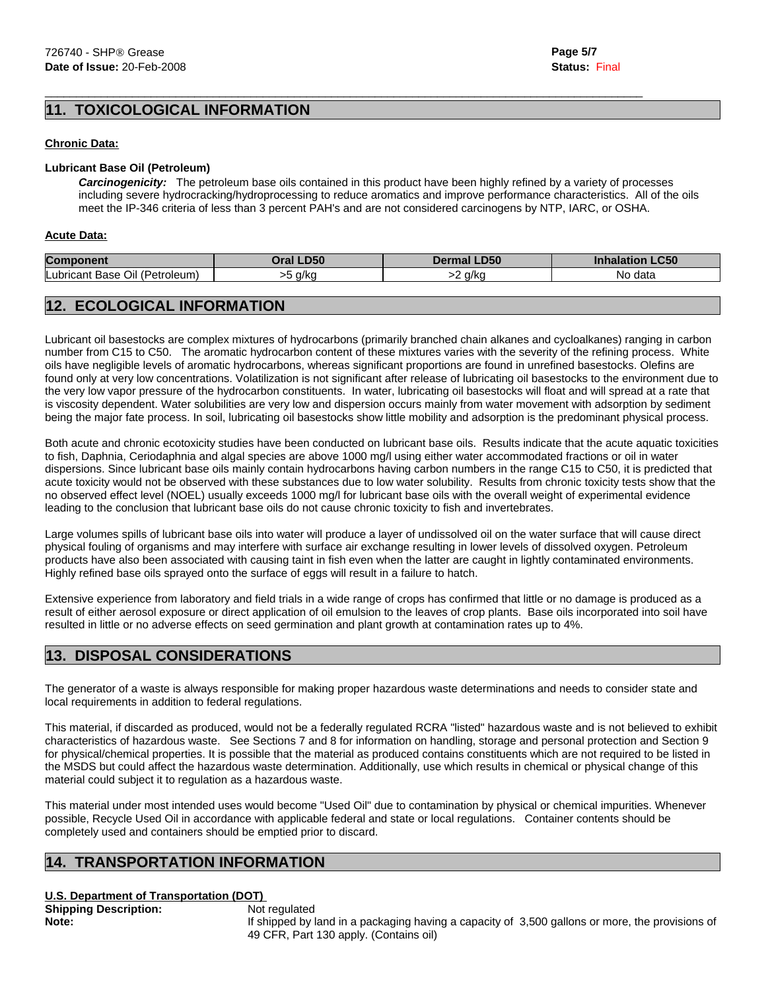**Page 5/7 Status:** Final

# **10XICOLOGICAL INFORMATION**

#### **Chronic Data:**

### **Lubricant Base Oil (Petroleum)**

 *Carcinogenicity:* The petroleum base oils contained in this product have been highly refined by a variety of processes including severe hydrocracking/hydroprocessing to reduce aromatics and improve performance characteristics. All of the oils meet the IP-346 criteria of less than 3 percent PAH's and are not considered carcinogens by NTP, IARC, or OSHA.

 $\mathcal{L}_\mathcal{L} = \{ \mathcal{L}_\mathcal{L} = \{ \mathcal{L}_\mathcal{L} = \{ \mathcal{L}_\mathcal{L} = \{ \mathcal{L}_\mathcal{L} = \{ \mathcal{L}_\mathcal{L} = \{ \mathcal{L}_\mathcal{L} = \{ \mathcal{L}_\mathcal{L} = \{ \mathcal{L}_\mathcal{L} = \{ \mathcal{L}_\mathcal{L} = \{ \mathcal{L}_\mathcal{L} = \{ \mathcal{L}_\mathcal{L} = \{ \mathcal{L}_\mathcal{L} = \{ \mathcal{L}_\mathcal{L} = \{ \mathcal{L}_\mathcal{$ 

#### **Acute Data:**

| <b>Component</b>                            | <b>LD50</b>      | LD50           | C <sub>ED</sub> |
|---------------------------------------------|------------------|----------------|-----------------|
|                                             | )ral             | $\blacksquare$ | -can            |
| Lubricant '<br>. (Petroleum)<br>Oil<br>Base | n/kn<br>"NL<br>. | a/ka           | data<br>N0      |

# **12. ECOLOGICAL INFORMATION**

Lubricant oil basestocks are complex mixtures of hydrocarbons (primarily branched chain alkanes and cycloalkanes) ranging in carbon number from C15 to C50. The aromatic hydrocarbon content of these mixtures varies with the severity of the refining process. White oils have negligible levels of aromatic hydrocarbons, whereas significant proportions are found in unrefined basestocks. Olefins are found only at very low concentrations. Volatilization is not significant after release of lubricating oil basestocks to the environment due to the very low vapor pressure of the hydrocarbon constituents. In water, lubricating oil basestocks will float and will spread at a rate that is viscosity dependent. Water solubilities are very low and dispersion occurs mainly from water movement with adsorption by sediment being the major fate process. In soil, lubricating oil basestocks show little mobility and adsorption is the predominant physical process.

Both acute and chronic ecotoxicity studies have been conducted on lubricant base oils. Results indicate that the acute aquatic toxicities to fish, Daphnia, Ceriodaphnia and algal species are above 1000 mg/l using either water accommodated fractions or oil in water dispersions. Since lubricant base oils mainly contain hydrocarbons having carbon numbers in the range C15 to C50, it is predicted that acute toxicity would not be observed with these substances due to low water solubility. Results from chronic toxicity tests show that the no observed effect level (NOEL) usually exceeds 1000 mg/l for lubricant base oils with the overall weight of experimental evidence leading to the conclusion that lubricant base oils do not cause chronic toxicity to fish and invertebrates.

Large volumes spills of lubricant base oils into water will produce a layer of undissolved oil on the water surface that will cause direct physical fouling of organisms and may interfere with surface air exchange resulting in lower levels of dissolved oxygen. Petroleum products have also been associated with causing taint in fish even when the latter are caught in lightly contaminated environments. Highly refined base oils sprayed onto the surface of eggs will result in a failure to hatch.

Extensive experience from laboratory and field trials in a wide range of crops has confirmed that little or no damage is produced as a result of either aerosol exposure or direct application of oil emulsion to the leaves of crop plants. Base oils incorporated into soil have resulted in little or no adverse effects on seed germination and plant growth at contamination rates up to 4%.

# **13. DISPOSAL CONSIDERATIONS**

The generator of a waste is always responsible for making proper hazardous waste determinations and needs to consider state and local requirements in addition to federal regulations.

This material, if discarded as produced, would not be a federally regulated RCRA "listed" hazardous waste and is not believed to exhibit characteristics of hazardous waste. See Sections 7 and 8 for information on handling, storage and personal protection and Section 9 for physical/chemical properties. It is possible that the material as produced contains constituents which are not required to be listed in the MSDS but could affect the hazardous waste determination. Additionally, use which results in chemical or physical change of this material could subject it to regulation as a hazardous waste.

This material under most intended uses would become "Used Oil" due to contamination by physical or chemical impurities. Whenever possible, Recycle Used Oil in accordance with applicable federal and state or local regulations. Container contents should be completely used and containers should be emptied prior to discard.

### **14. TRANSPORTATION INFORMATION**

### **U.S. Department of Transportation (DOT)**

**Shipping Description:** Not regulated

**Note:** If shipped by land in a packaging having a capacity of 3,500 gallons or more, the provisions of 49 CFR, Part 130 apply. (Contains oil)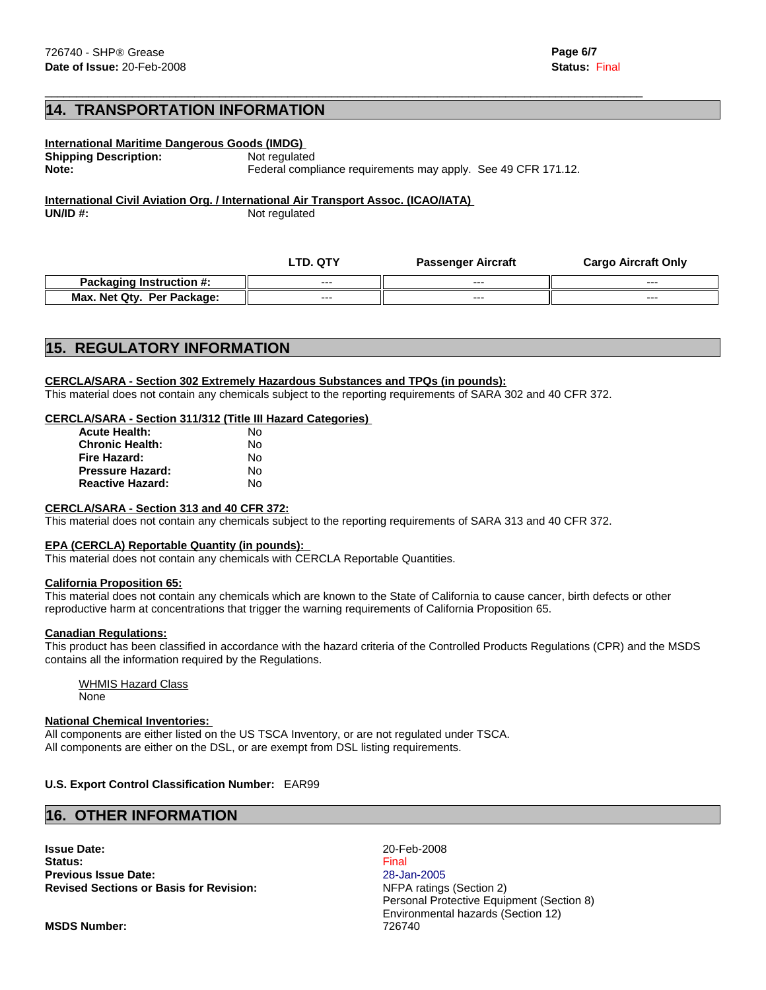# **14. TRANSPORTATION INFORMATION**

| International Maritime Dangerous Goods (IMDG) |                                                               |  |
|-----------------------------------------------|---------------------------------------------------------------|--|
| <b>Shipping Description:</b>                  | Not regulated                                                 |  |
| Note:                                         | Federal compliance requirements may apply. See 49 CFR 171.12. |  |
|                                               |                                                               |  |

 $\mathcal{L}_\mathcal{L} = \{ \mathcal{L}_\mathcal{L} = \{ \mathcal{L}_\mathcal{L} = \{ \mathcal{L}_\mathcal{L} = \{ \mathcal{L}_\mathcal{L} = \{ \mathcal{L}_\mathcal{L} = \{ \mathcal{L}_\mathcal{L} = \{ \mathcal{L}_\mathcal{L} = \{ \mathcal{L}_\mathcal{L} = \{ \mathcal{L}_\mathcal{L} = \{ \mathcal{L}_\mathcal{L} = \{ \mathcal{L}_\mathcal{L} = \{ \mathcal{L}_\mathcal{L} = \{ \mathcal{L}_\mathcal{L} = \{ \mathcal{L}_\mathcal{$ 

**International Civil Aviation Org. / International Air Transport Assoc. (ICAO/IATA) UN/ID #:** Not regulated

|                                 | LTD.<br>. QTY | <b>Passenger Aircraft</b> | <b>Cargo Aircraft Only</b> |
|---------------------------------|---------------|---------------------------|----------------------------|
| <b>Packaging Instruction #:</b> | $--$          | $--$                      | $- - -$                    |
| Max. Net Qty.<br>Per Package:   | $- - -$       | $--$                      | $- - -$                    |

## **15. REGULATORY INFORMATION**

#### **CERCLA/SARA - Section 302 Extremely Hazardous Substances and TPQs (in pounds):**

This material does not contain any chemicals subject to the reporting requirements of SARA 302 and 40 CFR 372.

#### **CERCLA/SARA - Section 311/312 (Title III Hazard Categories)**

| <b>Acute Health:</b>    | N٥ |
|-------------------------|----|
| <b>Chronic Health:</b>  | Nο |
| Fire Hazard:            | Nο |
| <b>Pressure Hazard:</b> | Nο |
| <b>Reactive Hazard:</b> | N٥ |

#### **CERCLA/SARA - Section 313 and 40 CFR 372:**

This material does not contain any chemicals subject to the reporting requirements of SARA 313 and 40 CFR 372.

#### **EPA (CERCLA) Reportable Quantity (in pounds):**

This material does not contain any chemicals with CERCLA Reportable Quantities.

#### **California Proposition 65:**

This material does not contain any chemicals which are known to the State of California to cause cancer, birth defects or other reproductive harm at concentrations that trigger the warning requirements of California Proposition 65.

#### **Canadian Regulations:**

This product has been classified in accordance with the hazard criteria of the Controlled Products Regulations (CPR) and the MSDS contains all the information required by the Regulations.

 WHMIS Hazard Class None

#### **National Chemical Inventories:**

All components are either listed on the US TSCA Inventory, or are not regulated under TSCA. All components are either on the DSL, or are exempt from DSL listing requirements.

### **U.S. Export Control Classification Number:** EAR99

### **16. OTHER INFORMATION**

**Issue Date:** 20-Feb-2008 **Status:** Final **Previous Issue Date:** 28-Jan-2005 **Revised Sections or Basis for Revision:** NFPA ratings (Section 2)

Personal Protective Equipment (Section 8) Environmental hazards (Section 12)

**MSDS Number:** 726740